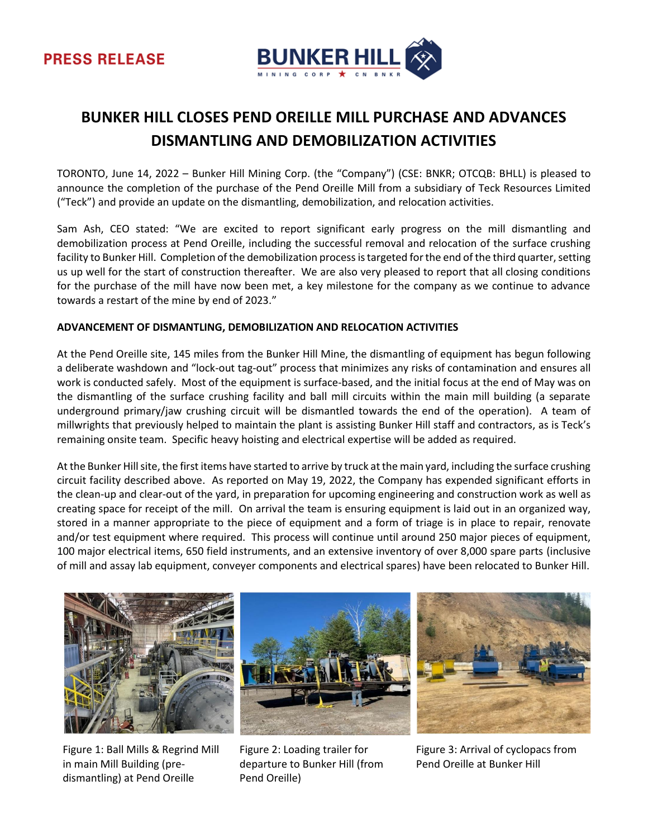

# **BUNKER HILL CLOSES PEND OREILLE MILL PURCHASE AND ADVANCES DISMANTLING AND DEMOBILIZATION ACTIVITIES**

TORONTO, June 14, 2022 – Bunker Hill Mining Corp. (the "Company") (CSE: BNKR; OTCQB: BHLL) is pleased to announce the completion of the purchase of the Pend Oreille Mill from a subsidiary of Teck Resources Limited ("Teck") and provide an update on the dismantling, demobilization, and relocation activities.

Sam Ash, CEO stated: "We are excited to report significant early progress on the mill dismantling and demobilization process at Pend Oreille, including the successful removal and relocation of the surface crushing facility to Bunker Hill. Completion of the demobilization process is targeted for the end of the third quarter, setting us up well for the start of construction thereafter. We are also very pleased to report that all closing conditions for the purchase of the mill have now been met, a key milestone for the company as we continue to advance towards a restart of the mine by end of 2023."

## **ADVANCEMENT OF DISMANTLING, DEMOBILIZATION AND RELOCATION ACTIVITIES**

At the Pend Oreille site, 145 miles from the Bunker Hill Mine, the dismantling of equipment has begun following a deliberate washdown and "lock-out tag-out" process that minimizes any risks of contamination and ensures all work is conducted safely. Most of the equipment is surface-based, and the initial focus at the end of May was on the dismantling of the surface crushing facility and ball mill circuits within the main mill building (a separate underground primary/jaw crushing circuit will be dismantled towards the end of the operation). A team of millwrights that previously helped to maintain the plant is assisting Bunker Hill staff and contractors, as is Teck's remaining onsite team. Specific heavy hoisting and electrical expertise will be added as required.

At the Bunker Hill site, the first items have started to arrive by truck at the main yard, including the surface crushing circuit facility described above. As reported on May 19, 2022, the Company has expended significant efforts in the clean-up and clear-out of the yard, in preparation for upcoming engineering and construction work as well as creating space for receipt of the mill. On arrival the team is ensuring equipment is laid out in an organized way, stored in a manner appropriate to the piece of equipment and a form of triage is in place to repair, renovate and/or test equipment where required. This process will continue until around 250 major pieces of equipment, 100 major electrical items, 650 field instruments, and an extensive inventory of over 8,000 spare parts (inclusive of mill and assay lab equipment, conveyer components and electrical spares) have been relocated to Bunker Hill.



Figure 1: Ball Mills & Regrind Mill in main Mill Building (predismantling) at Pend Oreille

Figure 2: Loading trailer for departure to Bunker Hill (from Pend Oreille)

Figure 3: Arrival of cyclopacs from Pend Oreille at Bunker Hill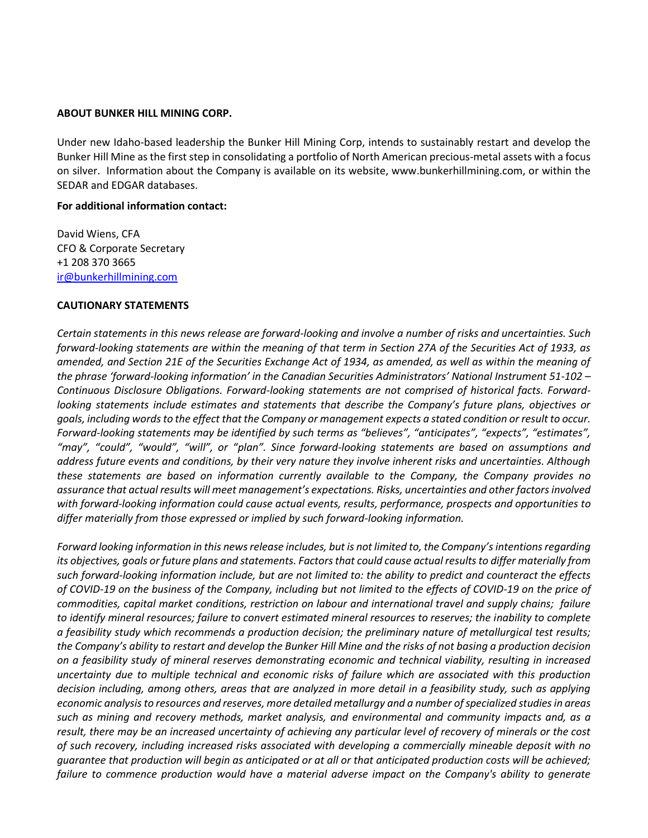#### **ABOUT BUNKER HILL MINING CORP.**

Under new Idaho-based leadership the Bunker Hill Mining Corp, intends to sustainably restart and develop the Bunker Hill Mine as the first step in consolidating a portfolio of North American precious-metal assets with a focus on silver. Information about the Company is available on its website, www.bunkerhillmining.com, or within the SEDAR and EDGAR databases.

#### **For additional information contact:**

David Wiens, CFA CFO & Corporate Secretary +1 208 370 3665 [ir@bunkerhillmining.com](mailto:ir@bunkerhillmining.com)

### **CAUTIONARY STATEMENTS**

*Certain statements in this news release are forward-looking and involve a number of risks and uncertainties. Such forward-looking statements are within the meaning of that term in Section 27A of the Securities Act of 1933, as amended, and Section 21E of the Securities Exchange Act of 1934, as amended, as well as within the meaning of the phrase 'forward-looking information' in the Canadian Securities Administrators' National Instrument 51-102 – Continuous Disclosure Obligations. Forward-looking statements are not comprised of historical facts. Forwardlooking statements include estimates and statements that describe the Company's future plans, objectives or goals, including words to the effect that the Company or management expects a stated condition or result to occur. Forward-looking statements may be identified by such terms as "believes", "anticipates", "expects", "estimates", "may", "could", "would", "will", or "plan". Since forward-looking statements are based on assumptions and address future events and conditions, by their very nature they involve inherent risks and uncertainties. Although these statements are based on information currently available to the Company, the Company provides no assurance that actual results will meet management's expectations. Risks, uncertainties and other factors involved with forward-looking information could cause actual events, results, performance, prospects and opportunities to differ materially from those expressed or implied by such forward-looking information.* 

*Forward looking information in this news release includes, but is not limited to, the Company's intentions regarding its objectives, goals or future plans and statements. Factors that could cause actual results to differ materially from such forward-looking information include, but are not limited to: the ability to predict and counteract the effects of COVID-19 on the business of the Company, including but not limited to the effects of COVID-19 on the price of commodities, capital market conditions, restriction on labour and international travel and supply chains; failure to identify mineral resources; failure to convert estimated mineral resources to reserves; the inability to complete a feasibility study which recommends a production decision; the preliminary nature of metallurgical test results; the Company's ability to restart and develop the Bunker Hill Mine and the risks of not basing a production decision on a feasibility study of mineral reserves demonstrating economic and technical viability, resulting in increased uncertainty due to multiple technical and economic risks of failure which are associated with this production decision including, among others, areas that are analyzed in more detail in a feasibility study, such as applying economic analysis to resources and reserves, more detailed metallurgy and a number of specialized studies in areas such as mining and recovery methods, market analysis, and environmental and community impacts and, as a result, there may be an increased uncertainty of achieving any particular level of recovery of minerals or the cost of such recovery, including increased risks associated with developing a commercially mineable deposit with no guarantee that production will begin as anticipated or at all or that anticipated production costs will be achieved; failure to commence production would have a material adverse impact on the Company's ability to generate*